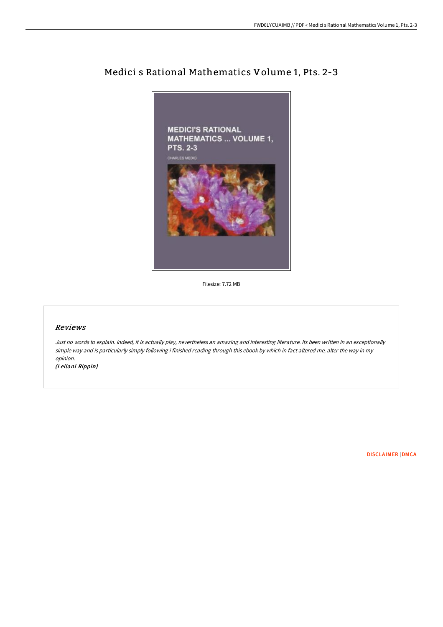

Medici s Rational Mathematics Volume 1, Pts. 2-3

Filesize: 7.72 MB

## Reviews

Just no words to explain. Indeed, it is actually play, nevertheless an amazing and interesting literature. Its been written in an exceptionally simple way and is particularly simply following i finished reading through this ebook by which in fact altered me, alter the way in my opinion.

(Leilani Rippin)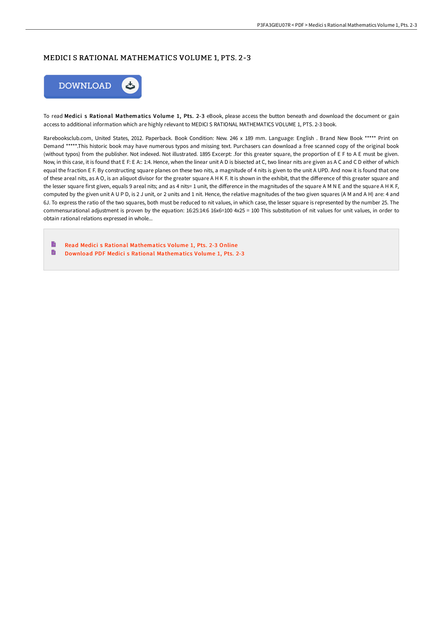## MEDICI S RATIONAL MATHEMATICS VOLUME 1, PTS. 2-3



To read Medici s Rational Mathematics Volume 1, Pts. 2-3 eBook, please access the button beneath and download the document or gain access to additional information which are highly relevant to MEDICI S RATIONAL MATHEMATICS VOLUME 1, PTS. 2-3 book.

Rarebooksclub.com, United States, 2012. Paperback. Book Condition: New. 246 x 189 mm. Language: English . Brand New Book \*\*\*\*\* Print on Demand \*\*\*\*\*.This historic book may have numerous typos and missing text. Purchasers can download a free scanned copy of the original book (without typos) from the publisher. Not indexed. Not illustrated. 1895 Excerpt: .for this greater square, the proportion of E F to A E must be given. Now, in this case, it is found that E F: E A:: 1:4. Hence, when the linear unit A D is bisected at C, two linear nits are given as A C and C D either of which equal the fraction E F. By constructing square planes on these two nits, a magnitude of 4 nits is given to the unit A UPD. And now it is found that one of these areal nits, as A O, is an aliquot divisor for the greater square A H K F. It is shown in the exhibit, that the difference of this greater square and the lesser square first given, equals 9 areal nits; and as 4 nits= 1 unit, the difference in the magnitudes of the square A M N E and the square A H K F, computed by the given unit A U P D, is 2 J unit, or 2 units and 1 nit. Hence, the relative magnitudes of the two given squares (A M and A H) are: 4 and 6J. To express the ratio of the two squares, both must be reduced to nit values, in which case, the lesser square is represented by the number 25. The commensurational adjustment is proven by the equation: 16:25:14:6 16x6=100 4x25 = 100 This substitution of nit values for unit values, in order to obtain rational relations expressed in whole...

B Read Medici s Rational [Mathematics](http://bookera.tech/medici-s-rational-mathematics-volume-1-pts-2-3-p.html) Volume 1, Pts. 2-3 Online D Download PDF Medici s Rational [Mathematics](http://bookera.tech/medici-s-rational-mathematics-volume-1-pts-2-3-p.html) Volume 1, Pts. 2-3